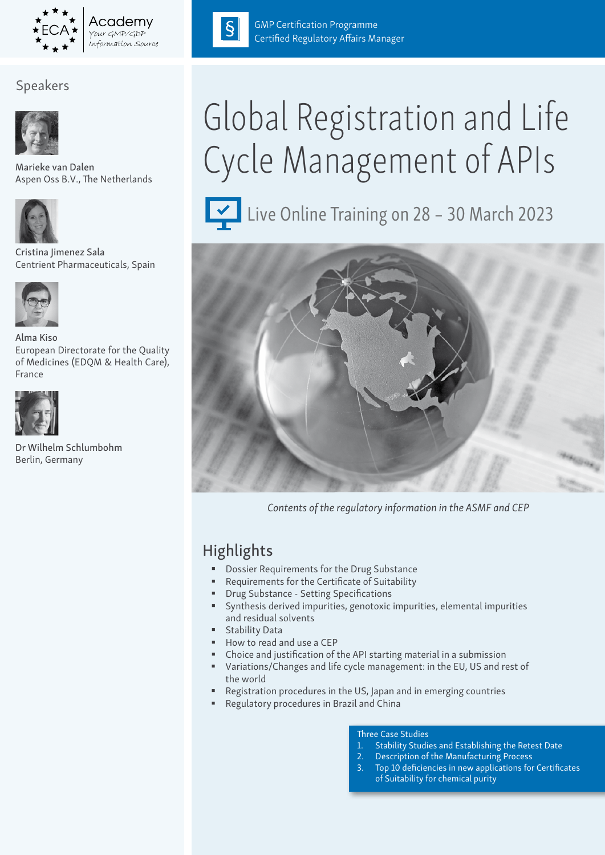

# Speakers



Marieke van Dalen Aspen Oss B.V., The Netherlands



Cristina Jimenez Sala Centrient Pharmaceuticals, Spain



Alma Kiso European Directorate for the Quality of Medicines (EDQM & Health Care), France



Dr Wilhelm Schlumbohm Berlin, Germany



GMP Certification Programme Certified Regulatory Affairs Manager

# Global Registration and Life Cycle Management of APIs



Live Online Training on 28 - 30 March 2023



*Contents of the regulatory information in the ASMF and CEP*

# **Highlights**

- Dossier Requirements for the Drug Substance
- Requirements for the Certificate of Suitability
- Drug Substance Setting Specifications
- Synthesis derived impurities, genotoxic impurities, elemental impurities and residual solvents
- **Stability Data**
- How to read and use a CEP
- Choice and justification of the API starting material in a submission
- Variations/Changes and life cycle management: in the EU, US and rest of the world
- Registration procedures in the US, Japan and in emerging countries
- Regulatory procedures in Brazil and China

#### Three Case Studies

- 1. Stability Studies and Establishing the Retest Date
- 2. Description of the Manufacturing Process
- Top 10 deficiencies in new applications for Certificates of Suitability for chemical purity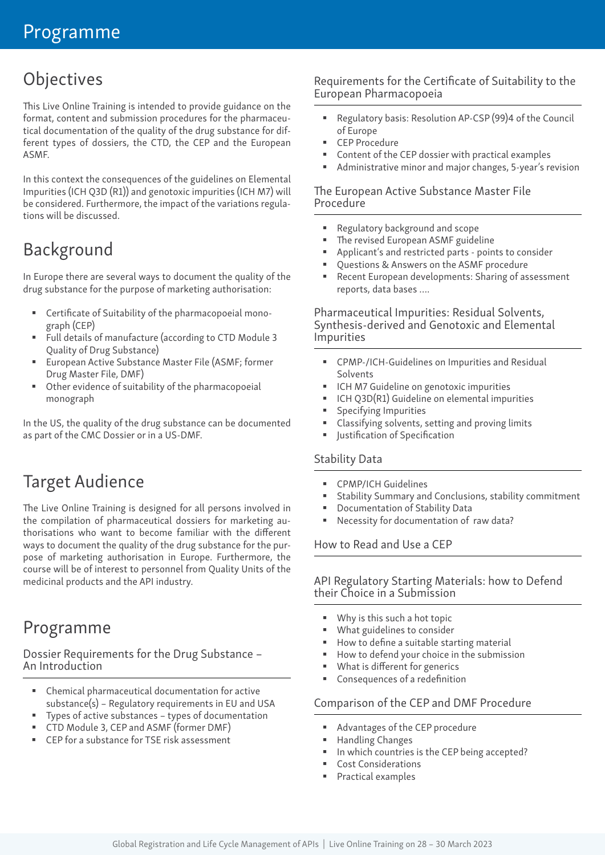# **Objectives**

This Live Online Training is intended to provide guidance on the format, content and submission procedures for the pharmaceutical documentation of the quality of the drug substance for different types of dossiers, the CTD, the CEP and the European ASMF.

In this context the consequences of the guidelines on Elemental Impurities (ICH Q3D (R1)) and genotoxic impurities (ICH M7) will be considered. Furthermore, the impact of the variations regulations will be discussed.

# Background

In Europe there are several ways to document the quality of the drug substance for the purpose of marketing authorisation:

- Certificate of Suitability of the pharmacopoeial monograph (CEP)
- Full details of manufacture (according to CTD Module 3 Quality of Drug Substance)
- European Active Substance Master File (ASMF; former Drug Master File, DMF)
- Other evidence of suitability of the pharmacopoeial monograph

In the US, the quality of the drug substance can be documented as part of the CMC Dossier or in a US-DMF.

# Target Audience

The Live Online Training is designed for all persons involved in the compilation of pharmaceutical dossiers for marketing authorisations who want to become familiar with the different ways to document the quality of the drug substance for the purpose of marketing authorisation in Europe. Furthermore, the course will be of interest to personnel from Quality Units of the medicinal products and the API industry.

# Programme

Dossier Requirements for the Drug Substance – An Introduction

- Chemical pharmaceutical documentation for active substance(s) – Regulatory requirements in EU and USA
- Types of active substances types of documentation
- CTD Module 3, CEP and ASMF (former DMF)
- CEP for a substance for TSE risk assessment

# Requirements for the Certificate of Suitability to the European Pharmacopoeia

- Regulatory basis: Resolution AP-CSP (99)4 of the Council of Europe
- CEP Procedure
- Content of the CEP dossier with practical examples
- Administrative minor and major changes, 5-year's revision

#### The European Active Substance Master File Procedure

- Regulatory background and scope
- The revised European ASMF guideline
- Applicant's and restricted parts points to consider
- Questions & Answers on the ASMF procedure
- Recent European developments: Sharing of assessment reports, data bases ….

Pharmaceutical Impurities: Residual Solvents, Synthesis-derived and Genotoxic and Elemental Impurities

- CPMP-/ICH-Guidelines on Impurities and Residual Solvents
- ICH M7 Guideline on genotoxic impurities
- ICH Q3D(R1) Guideline on elemental impurities
- Specifying Impurities
- Classifying solvents, setting and proving limits
- **ULACTER 19 IN STREE** Justification

## Stability Data

- CPMP/ICH Guidelines
- Stability Summary and Conclusions, stability commitment
- Documentation of Stability Data
- Necessity for documentation of raw data?

How to Read and Use a CEP

#### API Regulatory Starting Materials: how to Defend their Choice in a Submission

- Why is this such a hot topic
- **What guidelines to consider**
- How to define a suitable starting material
- How to defend your choice in the submission
- **What is different for generics**
- Consequences of a redefinition

#### Comparison of the CEP and DMF Procedure

- Advantages of the CEP procedure
- Handling Changes
- In which countries is the CEP being accepted?
- Cost Considerations
- Practical examples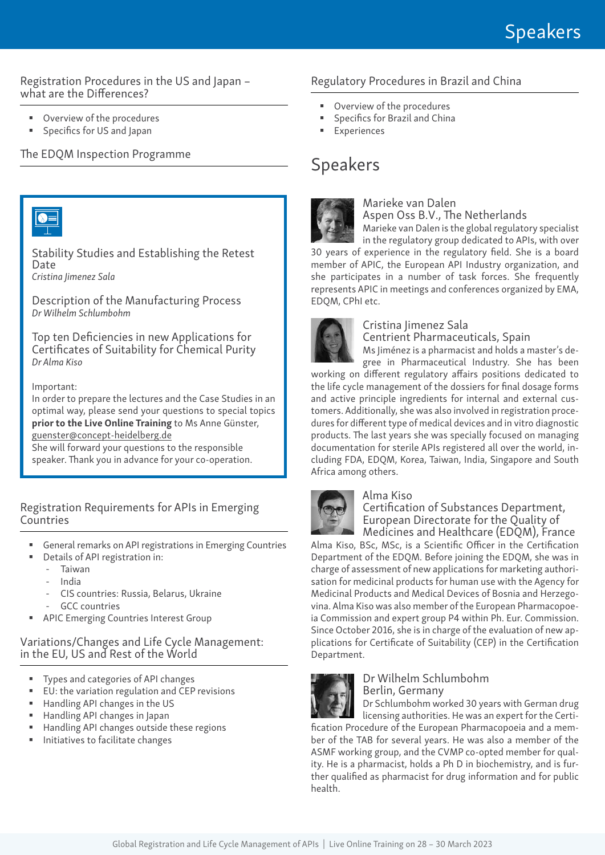#### Registration Procedures in the US and Japan – what are the Differences?

- Overview of the procedures
- Specifics for US and Japan

#### The EDQM Inspection Programme



Stability Studies and Establishing the Retest Date *Cristina Jimenez Sala*

Description of the Manufacturing Process *Dr Wilhelm Schlumbohm*

Top ten Deficiencies in new Applications for Certificates of Suitability for Chemical Purity *Dr Alma Kiso*

#### Important:

In order to prepare the lectures and the Case Studies in an optimal way, please send your questions to special topics prior to the Live Online Training to Ms Anne Günster, guenster@concept-heidelberg.de

She will forward your questions to the responsible speaker. Thank you in advance for your co-operation.

Registration Requirements for APIs in Emerging **Countries** 

- General remarks on API registrations in Emerging Countries
- Details of API registration in:
	- Taiwan
	- India
	- CIS countries: Russia, Belarus, Ukraine
	- GCC countries
- APIC Emerging Countries Interest Group

#### Variations/Changes and Life Cycle Management: in the EU, US and Rest of the World

- Types and categories of API changes
- EU: the variation regulation and CEP revisions
- Handling API changes in the US
- Handling API changes in Japan
- Handling API changes outside these regions
- Initiatives to facilitate changes

## Regulatory Procedures in Brazil and China

- Overview of the procedures
- Specifics for Brazil and China
- Experiences

# Speakers



#### Marieke van Dalen Aspen Oss B.V., The Netherlands

Marieke van Dalen is the global regulatory specialist

in the regulatory group dedicated to APIs, with over 30 years of experience in the regulatory field. She is a board member of APIC, the European API Industry organization, and she participates in a number of task forces. She frequently represents APIC in meetings and conferences organized by EMA, EDQM, CPhI etc.



#### Cristina Jimenez Sala

Centrient Pharmaceuticals, Spain

Ms Jiménez is a pharmacist and holds a master's degree in Pharmaceutical Industry. She has been working on different regulatory affairs positions dedicated to the life cycle management of the dossiers for final dosage forms and active principle ingredients for internal and external customers. Additionally, she was also involved in registration procedures for different type of medical devices and in vitro diagnostic products. The last years she was specially focused on managing documentation for sterile APIs registered all over the world, in-

cluding FDA, EDQM, Korea, Taiwan, India, Singapore and South Africa among others.



## Alma Kiso

Certification of Substances Department, European Directorate for the Quality of Medicines and Healthcare (EDQM), France

Alma Kiso, BSc, MSc, is a Scientific Officer in the Certification Department of the EDQM. Before joining the EDQM, she was in charge of assessment of new applications for marketing authorisation for medicinal products for human use with the Agency for Medicinal Products and Medical Devices of Bosnia and Herzegovina. Alma Kiso was also member of the European Pharmacopoeia Commission and expert group P4 within Ph. Eur. Commission. Since October 2016, she is in charge of the evaluation of new applications for Certificate of Suitability (CEP) in the Certification Department.



#### Dr Wilhelm Schlumbohm Berlin, Germany

Dr Schlumbohm worked 30 years with German drug licensing authorities. He was an expert for the Certification Procedure of the European Pharmacopoeia and a mem-

ber of the TAB for several years. He was also a member of the ASMF working group, and the CVMP co-opted member for quality. He is a pharmacist, holds a Ph D in biochemistry, and is further qualified as pharmacist for drug information and for public health.